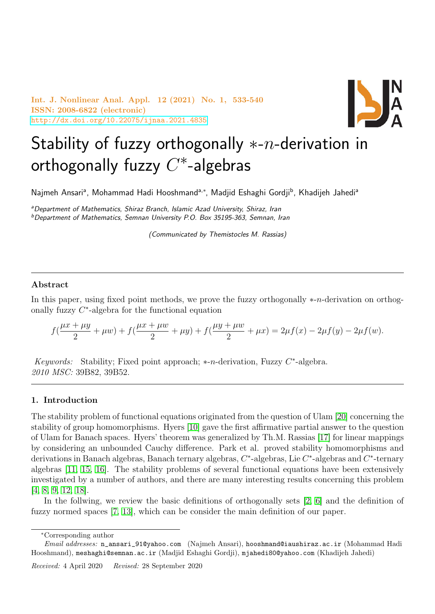Int. J. Nonlinear Anal. Appl. 12 (2021) No. 1, 533-540 ISSN: 2008-6822 (electronic) <http://dx.doi.org/10.22075/ijnaa.2021.4835>



# Stability of fuzzy orthogonally  $*-n$ -derivation in orthogonally fuzzy  $C^*$ -algebras

Najmeh Ansari<sup>a</sup>, Mohammad Hadi Hooshmand<sup>a,∗</sup>, Madjid Eshaghi Gordji<sup>b</sup>, Khadijeh Jahedi<sup>a</sup>

aDepartment of Mathematics, Shiraz Branch, Islamic Azad University, Shiraz, Iran  $b$ Department of Mathematics, Semnan University P.O. Box 35195-363, Semnan, Iran

(Communicated by Themistocles M. Rassias)

### Abstract

In this paper, using fixed point methods, we prove the fuzzy orthogonally ∗-n-derivation on orthogonally fuzzy  $C^*$ -algebra for the functional equation

$$
f(\frac{\mu x + \mu y}{2} + \mu w) + f(\frac{\mu x + \mu w}{2} + \mu y) + f(\frac{\mu y + \mu w}{2} + \mu x) = 2\mu f(x) - 2\mu f(y) - 2\mu f(w).
$$

Keywords: Stability; Fixed point approach;  $*$ -n-derivation, Fuzzy  $C^*$ -algebra. 2010 MSC: 39B82, 39B52.

#### 1. Introduction

The stability problem of functional equations originated from the question of Ulam [\[20\]](#page-7-0) concerning the stability of group homomorphisms. Hyers [\[10\]](#page-7-1) gave the first affirmative partial answer to the question of Ulam for Banach spaces. Hyers' theorem was generalized by Th.M. Rassias [\[17\]](#page-7-2) for linear mappings by considering an unbounded Cauchy difference. Park et al. proved stability homomorphisms and derivations in Banach algebras, Banach ternary algebras,  $C^*$ -algebras, Lie  $C^*$ -algebras and  $C^*$ -ternary algebras [\[11,](#page-7-3) [15,](#page-7-4) [16\]](#page-7-5). The stability problems of several functional equations have been extensively investigated by a number of authors, and there are many interesting results concerning this problem [\[4,](#page-7-6) [8,](#page-7-7) [9,](#page-7-8) [12,](#page-7-9) [18\]](#page-7-10).

In the follwing, we review the basic definitions of orthogonally sets [\[2,](#page-7-11) [6\]](#page-7-12) and the definition of fuzzy normed spaces [\[7,](#page-7-13) [13\]](#page-7-14), which can be consider the main definition of our paper.

<sup>∗</sup>Corresponding author

Email addresses: n\_ansari\_91@yahoo.com (Najmeh Ansari), hooshmand@iaushiraz.ac.ir (Mohammad Hadi Hooshmand), meshaghi@semnan.ac.ir (Madjid Eshaghi Gordji), mjahedi80@yahoo.com (Khadijeh Jahedi)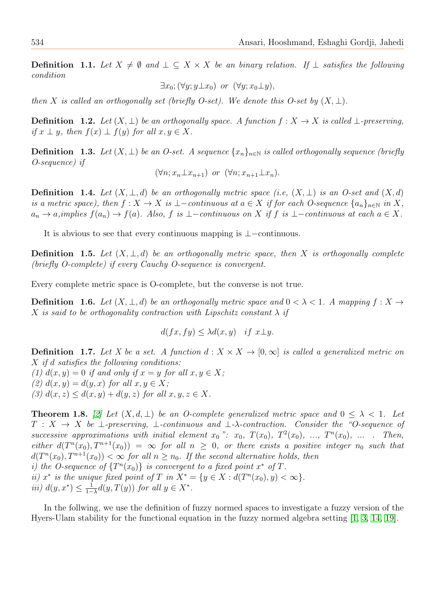**Definition 1.1.** Let  $X \neq \emptyset$  and  $\bot \subseteq X \times X$  be an binary relation. If  $\bot$  satisfies the following condition

$$
\exists x_0; (\forall y; y \bot x_0) \text{ or } (\forall y; x_0 \bot y),
$$

then X is called an orthogonally set (briefly O-set). We denote this O-set by  $(X, \perp)$ .

**Definition 1.2.** Let  $(X, \perp)$  be an orthogonally space. A function  $f : X \to X$  is called  $\perp$ -preserving, if  $x \perp y$ , then  $f(x) \perp f(y)$  for all  $x, y \in X$ .

**Definition 1.3.** Let  $(X, \perp)$  be an O-set. A sequence  $\{x_n\}_{n\in\mathbb{N}}$  is called orthogonally sequence (briefly O-sequence) if

$$
(\forall n; x_n \perp x_{n+1})
$$
 or  $(\forall n; x_{n+1} \perp x_n).$ 

**Definition 1.4.** Let  $(X, \perp, d)$  be an orthogonally metric space (i.e,  $(X, \perp)$  is an O-set and  $(X, d)$ ) is a metric space), then  $f: X \to X$  is  $\bot$ -continuous at  $a \in X$  if for each O-sequence  $\{a_n\}_{n\in\mathbb{N}}$  in X,  $a_n \to a$ , implies  $f(a_n) \to f(a)$ . Also, f is ⊥−continuous on X if f is ⊥−continuous at each  $a \in X$ .

It is abvious to see that every continuous mapping is ⊥−continuous.

**Definition** 1.5. Let  $(X, \perp, d)$  be an orthogonally metric space, then X is orthogonally complete (briefly O-complete) if every Cauchy O-sequence is convergent.

Every complete metric space is O-complete, but the converse is not true.

**Definition 1.6.** Let  $(X, \perp, d)$  be an orthogonally metric space and  $0 < \lambda < 1$ . A mapping  $f : X \to Y$ X is said to be orthogonality contraction with Lipschitz constant  $\lambda$  if

$$
d(fx, fy) \le \lambda d(x, y) \quad \text{if } x \bot y.
$$

**Definition 1.7.** Let X be a set. A function  $d: X \times X \to [0,\infty]$  is called a generalized metric on X if d satisfies the following conditions:

(1)  $d(x, y) = 0$  if and only if  $x = y$  for all  $x, y \in X$ ; (2)  $d(x, y) = d(y, x)$  for all  $x, y \in X$ ; (3)  $d(x, z) \leq d(x, y) + d(y, z)$  for all  $x, y, z \in X$ .

<span id="page-1-0"></span>**Theorem 1.8.** [\[2\]](#page-7-11) Let  $(X, d, \perp)$  be an O-complete generalized metric space and  $0 \leq \lambda < 1$ . Let  $T : X \to X$  be  $\bot$ -preserving,  $\bot$ -continuous and  $\bot$ - $\lambda$ -contraction. Consider the "O-sequence of successive approximations with initial element  $x_0$  ":  $x_0$ ,  $T(x_0)$ ,  $T^2(x_0)$ , ...,  $T^n(x_0)$ , ... . Then, either  $d(T^n(x_0), T^{n+1}(x_0)) = \infty$  for all  $n \geq 0$ , or there exists a positive integer  $n_0$  such that  $d(T^n(x_0), T^{n+1}(x_0)) < \infty$  for all  $n \geq n_0$ . If the second alternative holds, then i) the O-sequence of  $\{T^n(x_0)\}\$ is convergent to a fixed point  $x^*$  of T. ii)  $x^*$  is the unique fixed point of T in  $X^* = \{y \in X : d(T^n(x_0), y) < \infty\}.$ *iii*)  $d(y, x^*) \leq \frac{1}{1}$  $\frac{1}{1-\lambda}d(y,T(y))$  for all  $y \in X^*$ .

In the follwing, we use the definition of fuzzy normed spaces to investigate a fuzzy version of the Hyers-Ulam stability for the functional equation in the fuzzy normed algebra setting [\[1,](#page-7-15) [3,](#page-7-16) [14,](#page-7-17) [19\]](#page-7-18).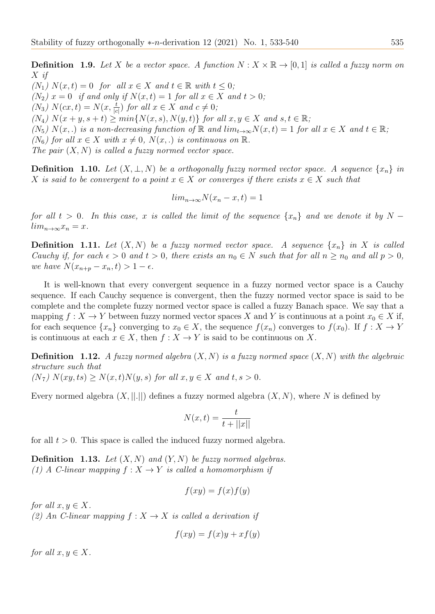**Definition 1.9.** Let X be a vector space. A function  $N : X \times \mathbb{R} \to [0,1]$  is called a fuzzy norm on X if  $(N_1)$   $N(x,t) = 0$  for all  $x \in X$  and  $t \in \mathbb{R}$  with  $t \leq 0$ ;  $(N_2)$   $x = 0$  if and only if  $N(x,t) = 1$  for all  $x \in X$  and  $t > 0$ ; (N<sub>3</sub>)  $N(cx, t) = N(x, \frac{t}{|c|})$  for all  $x \in X$  and  $c \neq 0$ ;  $(N_4)$   $N(x+y,s+t) \geq min\{N(x,s),N(y,t)\}\$  for all  $x,y \in X$  and  $s,t \in \mathbb{R}$ ;  $(N_5)$   $N(x,.)$  is a non-decreasing function of R and  $\lim_{t\to\infty}N(x,t)=1$  for all  $x\in X$  and  $t\in\mathbb{R}$ ;  $(N_6)$  for all  $x \in X$  with  $x \neq 0$ ,  $N(x,.)$  is continuous on  $\mathbb{R}$ . The pair  $(X, N)$  is called a fuzzy normed vector space.

**Definition** 1.10. Let  $(X, \perp, N)$  be a orthogonally fuzzy normed vector space. A sequence  $\{x_n\}$  in X is said to be convergent to a point  $x \in X$  or converges if there exists  $x \in X$  such that

$$
lim_{n\to\infty} N(x_n - x, t) = 1
$$

for all  $t > 0$ . In this case, x is called the limit of the sequence  $\{x_n\}$  and we denote it by N −  $lim_{n\to\infty}x_n=x.$ 

**Definition 1.11.** Let  $(X, N)$  be a fuzzy normed vector space. A sequence  $\{x_n\}$  in X is called Cauchy if, for each  $\epsilon > 0$  and  $t > 0$ , there exists an  $n_0 \in N$  such that for all  $n \geq n_0$  and all  $p > 0$ , we have  $N(x_{n+p}-x_n,t)>1-\epsilon$ .

It is well-known that every convergent sequence in a fuzzy normed vector space is a Cauchy sequence. If each Cauchy sequence is convergent, then the fuzzy normed vector space is said to be complete and the complete fuzzy normed vector space is called a fuzzy Banach space. We say that a mapping  $f: X \to Y$  between fuzzy normed vector spaces X and Y is continuous at a point  $x_0 \in X$  if, for each sequence  $\{x_n\}$  converging to  $x_0 \in X$ , the sequence  $f(x_n)$  converges to  $f(x_0)$ . If  $f : X \to Y$ is continuous at each  $x \in X$ , then  $f : X \to Y$  is said to be continuous on X.

**Definition 1.12.** A fuzzy normed algebra  $(X, N)$  is a fuzzy normed space  $(X, N)$  with the algebraic structure such that  $(N_7)$   $N(xy, ts) \geq N(x, t)N(y, s)$  for all  $x, y \in X$  and  $t, s > 0$ .

Every normed algebra  $(X, ||.||)$  defines a fuzzy normed algebra  $(X, N)$ , where N is defined by

$$
N(x,t) = \frac{t}{t + ||x||}
$$

for all  $t > 0$ . This space is called the induced fuzzy normed algebra.

**Definition 1.13.** Let  $(X, N)$  and  $(Y, N)$  be fuzzy normed algebras. (1) A C-linear mapping  $f: X \to Y$  is called a homomorphism if

$$
f(xy) = f(x)f(y)
$$

for all  $x, y \in X$ . (2) An C-linear mapping  $f: X \to X$  is called a derivation if

$$
f(xy) = f(x)y + xf(y)
$$

for all  $x, y \in X$ .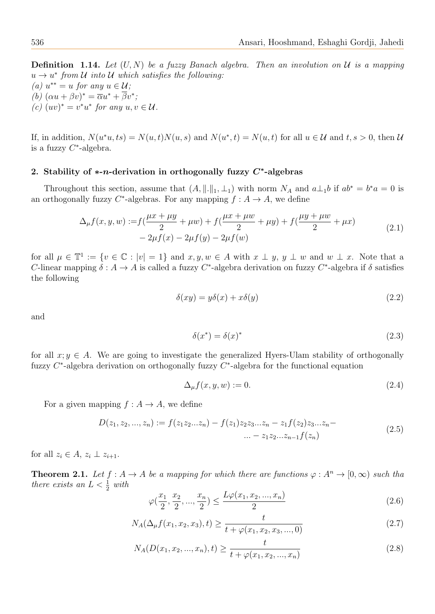**Definition 1.14.** Let  $(U, N)$  be a fuzzy Banach algebra. Then an involution on U is a mapping  $u \to u^*$  from U into U which satisfies the following: (a)  $u^{**} = u$  for any  $u \in \mathcal{U}$ ; (b)  $(\alpha u + \beta v)^* = \overline{\alpha} u^* + \overline{\beta} v^*;$ (c)  $(uv)^* = v^*u^*$  for any  $u, v \in \mathcal{U}$ .

If, in addition,  $N(u^*u, ts) = N(u, t)N(u, s)$  and  $N(u^*, t) = N(u, t)$  for all  $u \in \mathcal{U}$  and  $t, s > 0$ , then  $\mathcal{U}$ is a fuzzy  $C^*$ -algebra.

## 2. Stability of  $*$ -*n*-derivation in orthogonally fuzzy  $C^*$ -algebras

Throughout this section, assume that  $(A, \|.\|_1, \perp_1)$  with norm  $N_A$  and  $a\perp_1 b$  if  $ab^* = b^* a = 0$  is an orthogonally fuzzy  $C^*$ -algebras. For any mapping  $f: A \to A$ , we define

$$
\Delta_{\mu} f(x, y, w) := f\left(\frac{\mu x + \mu y}{2} + \mu w\right) + f\left(\frac{\mu x + \mu w}{2} + \mu y\right) + f\left(\frac{\mu y + \mu w}{2} + \mu x\right) - 2\mu f(x) - 2\mu f(y) - 2\mu f(w)
$$
\n(2.1)

for all  $\mu \in \mathbb{T}^1 := \{v \in \mathbb{C} : |v| = 1\}$  and  $x, y, w \in A$  with  $x \perp y, y \perp w$  and  $w \perp x$ . Note that a C-linear mapping  $\delta: A \to A$  is called a fuzzy C<sup>\*</sup>-algebra derivation on fuzzy C<sup>\*</sup>-algebra if  $\delta$  satisfies the following

$$
\delta(xy) = y\delta(x) + x\delta(y) \tag{2.2}
$$

and

$$
\delta(x^*) = \delta(x)^* \tag{2.3}
$$

for all  $x; y \in A$ . We are going to investigate the generalized Hyers-Ulam stability of orthogonally fuzzy  $C^*$ -algebra derivation on orthogonally fuzzy  $C^*$ -algebra for the functional equation

$$
\Delta_{\mu} f(x, y, w) := 0. \tag{2.4}
$$

For a given mapping  $f : A \to A$ , we define

$$
D(z_1, z_2, ..., z_n) := f(z_1 z_2 ... z_n) - f(z_1) z_2 z_3 ... z_n - z_1 f(z_2) z_3 ... z_n - \dots - z_1 z_2 ... z_{n-1} f(z_n)
$$
\n
$$
(2.5)
$$

<span id="page-3-3"></span>for all  $z_i \in A$ ,  $z_i \perp z_{i+1}$ .

**Theorem 2.1.** Let  $f : A \to A$  be a mapping for which there are functions  $\varphi : A^n \to [0, \infty)$  such tha there exists an  $L < \frac{1}{2}$  with

<span id="page-3-1"></span>
$$
\varphi(\frac{x_1}{2}, \frac{x_2}{2}, ..., \frac{x_n}{2}) \le \frac{L\varphi(x_1, x_2, ..., x_n)}{2}
$$
\n(2.6)

<span id="page-3-0"></span>
$$
N_A(\Delta_{\mu}f(x_1, x_2, x_3), t) \ge \frac{t}{t + \varphi(x_1, x_2, x_3, ..., 0)}
$$
\n(2.7)

<span id="page-3-2"></span>
$$
N_A(D(x_1, x_2, ..., x_n), t) \ge \frac{t}{t + \varphi(x_1, x_2, ..., x_n)}
$$
\n(2.8)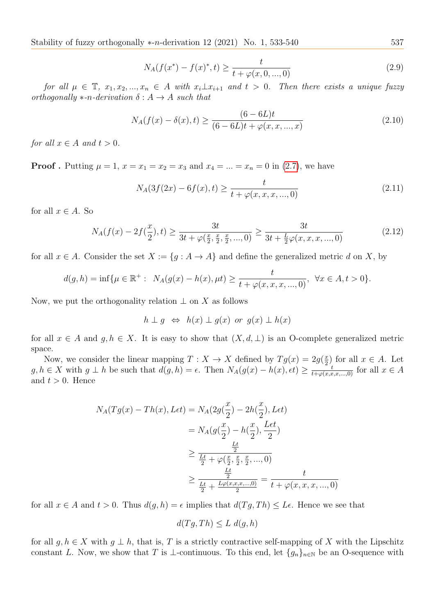Stability of fuzzy orthogonally  $*$ -n-derivation 12 (2021) No. 1, 533-540 537

$$
N_A(f(x^*) - f(x)^*, t) \ge \frac{t}{t + \varphi(x, 0, ..., 0)}
$$
\n(2.9)

for all  $\mu \in \mathbb{T}$ ,  $x_1, x_2, ..., x_n \in A$  with  $x_i \perp x_{i+1}$  and  $t > 0$ . Then there exists a unique fuzzy orthogonally  $*-n$ -derivation  $\delta: A \to A$  such that

$$
N_A(f(x) - \delta(x), t) \ge \frac{(6 - 6L)t}{(6 - 6L)t + \varphi(x, x, ..., x)}
$$
\n(2.10)

for all  $x \in A$  and  $t > 0$ .

**Proof**. Putting  $\mu = 1$ ,  $x = x_1 = x_2 = x_3$  and  $x_4 = ... = x_n = 0$  in (2.[7\)](#page-3-0), we have

$$
N_A(3f(2x) - 6f(x), t) \ge \frac{t}{t + \varphi(x, x, x, ..., 0)}
$$
\n(2.11)

for all  $x \in A$ . So

<span id="page-4-0"></span>
$$
N_A(f(x) - 2f(\frac{x}{2}), t) \ge \frac{3t}{3t + \varphi(\frac{x}{2}, \frac{x}{2}, \frac{x}{2}, ..., 0)} \ge \frac{3t}{3t + \frac{L}{2}\varphi(x, x, x, ..., 0)}
$$
(2.12)

for all  $x \in A$ . Consider the set  $X := \{g : A \to A\}$  and define the generalized metric d on X, by

$$
d(g, h) = \inf \{ \mu \in \mathbb{R}^+ : N_A(g(x) - h(x), \mu t) \ge \frac{t}{t + \varphi(x, x, x, ..., 0)}, \ \forall x \in A, t > 0 \}.
$$

Now, we put the orthogonality relation  $\perp$  on X as follows

$$
h \perp g \iff h(x) \perp g(x) \text{ or } g(x) \perp h(x)
$$

for all  $x \in A$  and  $g, h \in X$ . It is easy to show that  $(X, d, \perp)$  is an O-complete generalized metric space.

Now, we consider the linear mapping  $T : X \to X$  defined by  $Tg(x) = 2g(\frac{x}{2})$  $(\frac{x}{2})$  for all  $x \in A$ . Let  $g, h \in X$  with  $g \perp h$  be such that  $d(g, h) = \epsilon$ . Then  $N_A(g(x) - h(x), \epsilon t) \geq \frac{\epsilon}{t + \varphi(x, x, x, \ldots, 0)}$  for all  $x \in A$ and  $t > 0$ . Hence

$$
N_A(Tg(x) - Th(x), Let) = N_A(2g(\frac{x}{2}) - 2h(\frac{x}{2}), Let)
$$
  
=  $N_A(g(\frac{x}{2}) - h(\frac{x}{2}), \frac{Let}{2})$   

$$
\geq \frac{\frac{Lt}{2}}{\frac{Lt}{2} + \varphi(\frac{x}{2}, \frac{x}{2}, \frac{x}{2}, ..., 0)}
$$
  

$$
\geq \frac{\frac{Lt}{2}}{\frac{Lt}{2} + \frac{L\varphi(x, x, x, ..., 0)}{2}} = \frac{t}{t + \varphi(x, x, x, ..., 0)}
$$

for all  $x \in A$  and  $t > 0$ . Thus  $d(g, h) = \epsilon$  implies that  $d(Tg, Th) \leq L\epsilon$ . Hence we see that

$$
d(Tg, Th) \le L \ d(g, h)
$$

for all  $g, h \in X$  with  $g \perp h$ , that is, T is a strictly contractive self-mapping of X with the Lipschitz constant L. Now, we show that T is ⊥-continuous. To this end, let  $\{g_n\}_{n\in\mathbb{N}}$  be an O-sequence with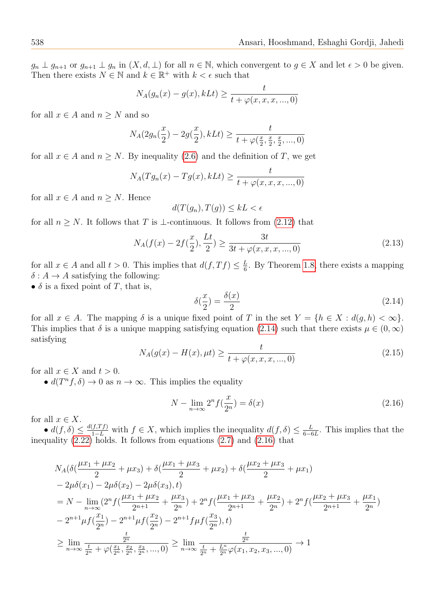$g_n \perp g_{n+1}$  or  $g_{n+1} \perp g_n$  in  $(X, d, \perp)$  for all  $n \in \mathbb{N}$ , which convergent to  $g \in X$  and let  $\epsilon > 0$  be given. Then there exists  $N \in \mathbb{N}$  and  $k \in \mathbb{R}^+$  with  $k < \epsilon$  such that

$$
N_A(g_n(x) - g(x), kLt) \ge \frac{t}{t + \varphi(x, x, x, ..., 0)}
$$

for all  $x \in A$  and  $n \geq N$  and so

$$
N_A(2g_n(\frac{x}{2}) - 2g(\frac{x}{2}), kLt) \ge \frac{t}{t + \varphi(\frac{x}{2}, \frac{x}{2}, \frac{x}{2}, ..., 0)}
$$

for all  $x \in A$  and  $n \geq N$ . By inequality (2.[6\)](#page-3-1) and the definition of T, we get

$$
N_A(Tg_n(x) - Tg(x), kLt) \ge \frac{t}{t + \varphi(x, x, x, ..., 0)}
$$

for all  $x \in A$  and  $n \geq N$ . Hence

$$
d(T(g_n), T(g)) \le kL < \epsilon
$$

for all  $n \geq N$ . It follows that T is ⊥-continuous. It follows from (2.[12\)](#page-4-0) that

$$
N_A(f(x) - 2f(\frac{x}{2}), \frac{Lt}{2}) \ge \frac{3t}{3t + \varphi(x, x, x, ..., 0)}
$$
\n(2.13)

for all  $x \in A$  and all  $t > 0$ . This implies that  $d(f, Tf) \leq \frac{L}{6}$  $\frac{L}{6}$ . By Theorem [1](#page-1-0).8, there exists a mapping  $\delta: A \to A$  satisfying the following:

•  $\delta$  is a fixed point of T, that is,

<span id="page-5-0"></span>
$$
\delta(\frac{x}{2}) = \frac{\delta(x)}{2} \tag{2.14}
$$

for all  $x \in A$ . The mapping  $\delta$  is a unique fixed point of T in the set  $Y = \{h \in X : d(g, h) < \infty\}.$ This implies that  $\delta$  is a unique mapping satisfying equation (2.[14\)](#page-5-0) such that there exists  $\mu \in (0,\infty)$ satisfying

$$
N_A(g(x) - H(x), \mu t) \ge \frac{t}{t + \varphi(x, x, x, ..., 0)}
$$
\n(2.15)

for all  $x \in X$  and  $t > 0$ .

•  $d(T^n f, \delta) \to 0$  as  $n \to \infty$ . This implies the equality

<span id="page-5-1"></span>
$$
N - \lim_{n \to \infty} 2^n f(\frac{x}{2^n}) = \delta(x) \tag{2.16}
$$

for all  $x \in X$ .

•  $d(f, \delta) \leq \frac{d(f, Tf)}{1-L}$  with  $f \in X$ , which implies the inequality  $d(f, \delta) \leq \frac{L}{6-\epsilon}$  $\frac{L}{6-6L}$ . This implies that the inequality  $(2.22)$  $(2.22)$  holds. It follows from equations  $(2.7)$  $(2.7)$  and  $(2.16)$  $(2.16)$  that

$$
N_A(\delta(\frac{\mu x_1 + \mu x_2}{2} + \mu x_3) + \delta(\frac{\mu x_1 + \mu x_3}{2} + \mu x_2) + \delta(\frac{\mu x_2 + \mu x_3}{2} + \mu x_1)
$$
  
\n
$$
-2\mu\delta(x_1) - 2\mu\delta(x_2) - 2\mu\delta(x_3), t)
$$
  
\n
$$
= N - \lim_{n \to \infty} (2^n f(\frac{\mu x_1 + \mu x_2}{2^{n+1}} + \frac{\mu x_3}{2^n}) + 2^n f(\frac{\mu x_1 + \mu x_3}{2^{n+1}} + \frac{\mu x_2}{2^n}) + 2^n f(\frac{\mu x_2 + \mu x_3}{2^{n+1}} + \frac{\mu x_1}{2^n})
$$
  
\n
$$
-2^{n+1} \mu f(\frac{x_1}{2^n}) - 2^{n+1} \mu f(\frac{x_2}{2^n}) - 2^{n+1} f \mu f(\frac{x_3}{2^n}), t)
$$
  
\n
$$
\geq \lim_{n \to \infty} \frac{\frac{t}{2^n}}{\frac{t}{2^n} + \varphi(\frac{x_1}{2^n}, \frac{x_2}{2^n}, \frac{x_3}{2^n}, ..., 0)} \geq \lim_{n \to \infty} \frac{\frac{t}{2^n}}{\frac{t}{2^n} + \frac{L^n}{2^n} \varphi(x_1, x_2, x_3, ..., 0)} \to 1
$$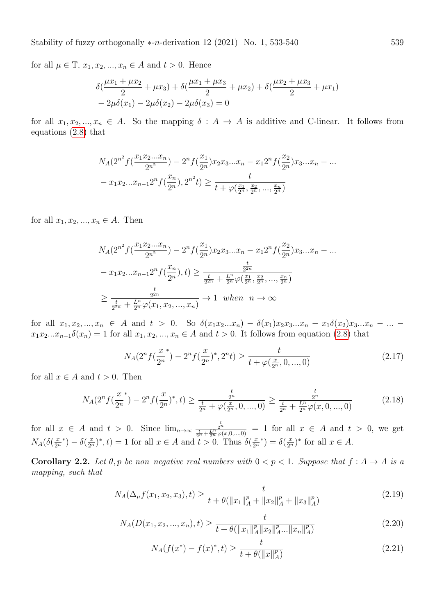for all  $\mu \in \mathbb{T}$ ,  $x_1, x_2, ..., x_n \in A$  and  $t > 0$ . Hence

$$
\delta\left(\frac{\mu x_1 + \mu x_2}{2} + \mu x_3\right) + \delta\left(\frac{\mu x_1 + \mu x_3}{2} + \mu x_2\right) + \delta\left(\frac{\mu x_2 + \mu x_3}{2} + \mu x_1\right) - 2\mu\delta(x_1) - 2\mu\delta(x_2) - 2\mu\delta(x_3) = 0
$$

for all  $x_1, x_2, ..., x_n \in A$ . So the mapping  $\delta : A \to A$  is additive and C-linear. It follows from equations [\(2](#page-3-2).8) that

$$
N_A(2^{n^2} f(\frac{x_1 x_2 ... x_n}{2^{n^2}}) - 2^n f(\frac{x_1}{2^n}) x_2 x_3 ... x_n - x_1 2^n f(\frac{x_2}{2^n}) x_3 ... x_n - ...
$$
  

$$
- x_1 x_2 ... x_{n-1} 2^n f(\frac{x_n}{2^n}), 2^{n^2} t) \ge \frac{t}{t + \varphi(\frac{x_1}{2^n}, \frac{x_2}{2^n}, ..., \frac{x_n}{2^n})}
$$

for all  $x_1, x_2, ..., x_n \in A$ . Then

$$
N_A(2^{n^2} f(\frac{x_1 x_2 ... x_n}{2^{n^2}}) - 2^n f(\frac{x_1}{2^n}) x_2 x_3 ... x_n - x_1 2^n f(\frac{x_2}{2^n}) x_3 ... x_n - ...
$$

$$
- x_1 x_2 ... x_{n-1} 2^n f(\frac{x_n}{2^n}), t) \ge \frac{\frac{t}{2^{2n}}}{\frac{t}{2^{2n}} + \frac{L^n}{2^n} \varphi(\frac{x_1}{2^n}, \frac{x_2}{2^n}, ..., \frac{x_n}{2^n})}
$$

$$
\ge \frac{\frac{t}{2^{2n}}}{\frac{t}{2^{2n}} + \frac{L^n}{2^n} \varphi(x_1, x_2, ..., x_n)} \to 1 \text{ when } n \to \infty
$$

for all  $x_1, x_2, ..., x_n \in A$  and  $t > 0$ . So  $\delta(x_1x_2...x_n) - \delta(x_1)x_2x_3...x_n - x_1\delta(x_2)x_3...x_n - ...$  $x_1x_2...x_{n-1}\delta(x_n) = 1$  for all  $x_1, x_2, ..., x_n \in A$  and  $t > 0$ . It follows from equation (2.[8\)](#page-3-2) that

$$
N_A(2^n f(\frac{x}{2^n}) - 2^n f(\frac{x}{2^n})^*, 2^n t) \ge \frac{t}{t + \varphi(\frac{x}{2^n}, 0, ..., 0)}
$$
\n(2.17)

for all  $x \in A$  and  $t > 0$ . Then

$$
N_A(2^n f(\frac{x}{2^n}) - 2^n f(\frac{x}{2^n})^*, t) \ge \frac{\frac{t}{2^n}}{\frac{t}{2^n} + \varphi(\frac{x}{2^n}, 0, ..., 0)} \ge \frac{\frac{t}{2^n}}{\frac{t}{2^n} + \frac{L^n}{2^n} \varphi(x, 0, ..., 0)}\tag{2.18}
$$

for all  $x \in A$  and  $t > 0$ . Since  $\lim_{n \to \infty} \frac{\frac{t}{2^n}}{\frac{t}{2^n} + \frac{L^n}{2^n} \varphi(x, 0, \ldots, 0)} = 1$  for all  $x \in A$  and  $t > 0$ , we get  $N_A(\delta(\frac{x}{2^n}))$  $\overline{2^n}$ \*) –  $\delta(\frac{x}{2^n})^*$ , t) = 1 for all  $x \in A$  and  $t > 0$ . Thus  $\delta(\frac{x}{2^n})$  $\overline{2^n}$ \*) =  $\delta(\frac{x}{2^n})^*$  for all  $x \in A$ .

Corollary 2.2. Let  $\theta$ , p be non-negative real numbers with  $0 < p < 1$ . Suppose that  $f : A \rightarrow A$  is a mapping, such that

$$
N_A(\Delta_\mu f(x_1, x_2, x_3), t) \ge \frac{t}{t + \theta(\|x_1\|_A^p + \|x_2\|_A^p + \|x_3\|_A^p)}
$$
(2.19)

$$
N_A(D(x_1, x_2, ..., x_n), t) \ge \frac{t}{t + \theta(\|x_1\|_A^p \|x_2\|_A^p ... \|x_n\|_A^p)}
$$
(2.20)

$$
N_A(f(x^*) - f(x)^*, t) \ge \frac{t}{t + \theta(\|x\|_A^p)}
$$
\n(2.21)